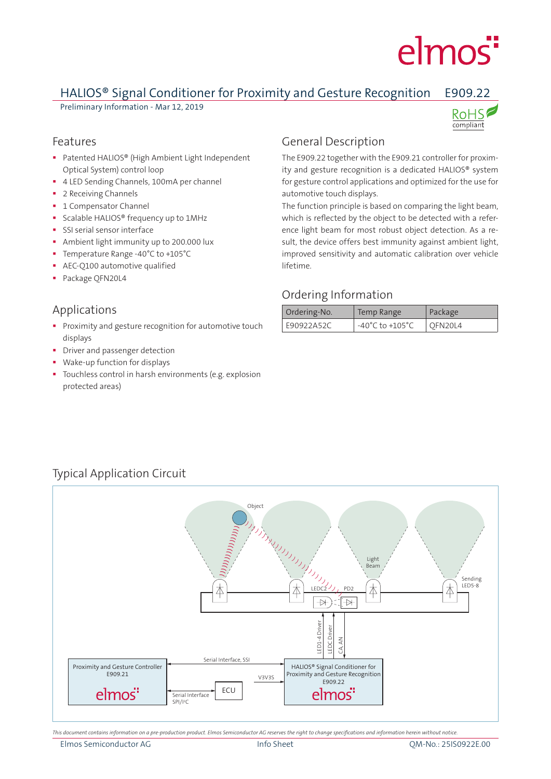# elmos<sup>"</sup>

### HALIOS® Signal Conditioner for Proximity and Gesture Recognition E909.22

Preliminary Information - Mar 12, 2019



#### Features

- Patented HALIOS® (High Ambient Light Independent Optical System) control loop
- 4 LED Sending Channels, 100mA per channel
- **2** Receiving Channels
- **1 Compensator Channel**
- **Scalable HALIOS®** frequency up to 1MHz
- **SSI serial sensor interface**
- Ambient light immunity up to 200.000 lux
- Temperature Range -40°C to +105°C
- **AEC-Q100 automotive qualified**
- Package QFN20L4

#### Applications

- **Proximity and gesture recognition for automotive touch** displays
- Driver and passenger detection
- Wake-up function for displays
- Touchless control in harsh environments (e.g. explosion protected areas)

#### General Description

The E909.22 together with the E909.21 controller for proximity and gesture recognition is a dedicated HALIOS® system for gesture control applications and optimized for the use for automotive touch displays.

The function principle is based on comparing the light beam, which is reflected by the object to be detected with a reference light beam for most robust object detection. As a result, the device offers best immunity against ambient light, improved sensitivity and automatic calibration over vehicle lifetime.

#### Ordering Information

| Ordering-No. | Temp Range                          | Package |
|--------------|-------------------------------------|---------|
| E90922A52C   | $-40^{\circ}$ C to $+105^{\circ}$ C | OFN20L4 |

## Typical Application Circuit



*This document contains information on a pre-production product. Elmos Semiconductor AG reserves the right to change specifications and information herein without notice.*